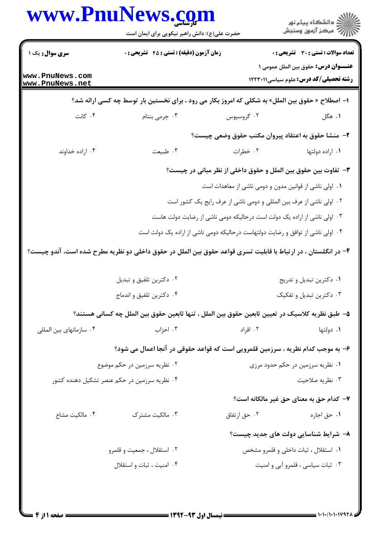|                                              | حضرت علی(ع): دانش راهبر نیکویی برای ایمان است                                                                  | www.PnuNews.com                                    | ڪ دانشڪاه پيا <sub>م</sub> نور<br>۾ سرڪز آزمون وسنڊش                                        |
|----------------------------------------------|----------------------------------------------------------------------------------------------------------------|----------------------------------------------------|---------------------------------------------------------------------------------------------|
| <b>سری سوال :</b> یک ۱                       | <b>زمان آزمون (دقیقه) : تستی : 45 تشریحی : 0</b>                                                               |                                                    | <b>تعداد سوالات : تستی : 30 ٪ تشریحی : 0</b>                                                |
| www.PnuNews.com<br>www.PnuNews.net           |                                                                                                                |                                                    | <b>عنـــوان درس:</b> حقوق بين الملل عمومي ١<br><b>رشته تحصیلی/کد درس:</b> علوم سیاسی1۲۲۳۰۱۱ |
|                                              | ا– اصطلاح « حقوق بین الملل» به شکلی که امروز بکار می رود ، برای نخستین بار توسط چه کسی ارائه شد؟               |                                                    |                                                                                             |
| ۰۴ کانت                                      | ۰۳ جرمی بنتام                                                                                                  | ۰۲ گروسیوس                                         | ۰۱ هگل                                                                                      |
|                                              |                                                                                                                | ۲– منشا حقوق به اعتقاد پیروان مکتب حقوق وضعی چیست؟ |                                                                                             |
| ۰۴ اراده خداوند                              | ۰۳ طبیعت                                                                                                       | ۰۲ خطرات                                           | ۰۱ اراده دولتها                                                                             |
|                                              | ۳- تفاوت بین حقوق بین الملل و حقوق داخلی از نظر مبانی در چیست؟                                                 |                                                    |                                                                                             |
|                                              | ۰۱ اولی ناشی از قوانین مدون و دومی ناشی از معاهدات است                                                         |                                                    |                                                                                             |
|                                              | ۰۲ اولی ناشی از عرف بین المللی و دومی ناشی از عرف رایج یک کشور است                                             |                                                    |                                                                                             |
|                                              | ۰۳ اولی ناشی از اراده یک دولت است درحالیکه دومی ناشی از رضایت دولت هاست                                        |                                                    |                                                                                             |
|                                              | ۰۴ اولی ناشی از توافق و رضایت دولتهاست درحالیکه دومی ناشی از اراده یک دولت است                                 |                                                    |                                                                                             |
|                                              | ۴- در انگلستان ، در ارتباط با قابلیت تسری قواعد حقوق بین الملل در حقوق داخلی دو نظریه مطرح شده است، آندو چیست؟ |                                                    |                                                                                             |
|                                              |                                                                                                                |                                                    |                                                                                             |
|                                              | ۰۲ دکترین تلفیق و تبدیل                                                                                        |                                                    | ٠١ دكترين تبديل و تدريج                                                                     |
|                                              | ۰۴ دکترین تلفیق و اندماج                                                                                       |                                                    | ۰۳ دکترین تبدیل و تفکیک                                                                     |
|                                              | ۵– طبق نظریه کلاسیک در تعیین تابعین حقوق بین الملل ، تنها تابعین حقوق بین الملل چه کسانی هستند؟                |                                                    |                                                                                             |
| ۰۴ سازمانهای بین المللی                      | ۰۳ احزاب                                                                                                       | ۰۲ افراد                                           | ۰۱ دولتها                                                                                   |
|                                              | ۶- به موجب کدام نظریه ، سرزمین قلمرویی است که قواعد حقوقی در آنجا اعمال می شود؟                                |                                                    |                                                                                             |
| ۰۲ نظریه سرزمین در حکم موضوع                 |                                                                                                                |                                                    | ۰۱ نظریه سرزمین در حکم حدود مرزی                                                            |
| ۰۴ نظریه سرزمین در حکم عنصر تشکیل دهنده کشور |                                                                                                                |                                                    | ۰۳ نظریه صلاحیت                                                                             |
|                                              |                                                                                                                |                                                    | ۷– کدام حق به معنای حق غیر مالکانه است؟                                                     |
|                                              | ۰۳ مالکیت مشترک                                                                                                | ۰۲ حق ارتفاق                                       | ۰۱ حق اجاره                                                                                 |
| ۰۴ مالكيت مشاع                               |                                                                                                                |                                                    |                                                                                             |
|                                              |                                                                                                                |                                                    | ۸- شرایط شناسایی دولت های جدید چیست؟                                                        |
|                                              | ۰۲ استقلال ، جمعیت و قلمرو                                                                                     |                                                    | ۰۱ استقلال ، ثبات داخلی و قلمرو مشخص                                                        |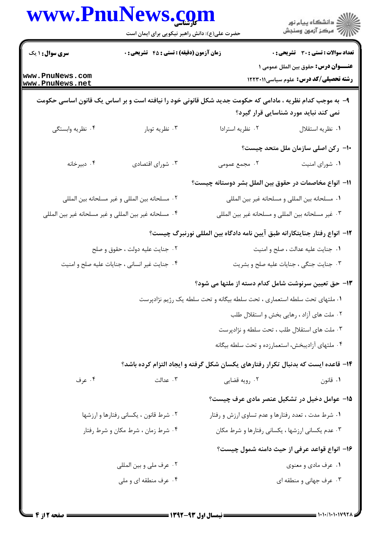|                                                | www.PnuNews.com                                        |                                                    | ڪ دانشڪاه پيام نور<br>/7 مرڪز آزمون وسنڊش                                                                                                         |
|------------------------------------------------|--------------------------------------------------------|----------------------------------------------------|---------------------------------------------------------------------------------------------------------------------------------------------------|
|                                                | حضرت علی(ع): دانش راهبر نیکویی برای ایمان است          |                                                    |                                                                                                                                                   |
| <b>سری سوال : ۱ یک</b>                         | <b>زمان آزمون (دقیقه) : تستی : 45 گتشریحی : 0</b>      |                                                    | <b>تعداد سوالات : تستی : 30 ٪ تشریحی : 0</b>                                                                                                      |
| www.PnuNews.com<br>www.PnuNews.net             |                                                        |                                                    | <b>عنـــوان درس:</b> حقوق بين الملل عمومي ١<br><b>رشته تحصیلی/کد درس:</b> علوم سیاسی1۲۲۳۰۱۱                                                       |
|                                                |                                                        |                                                    | ۹- به موجب کدام نظریه ، مادامی که حکومت جدید شکل قانونی خود را نیافته است و بر اساس یک قانون اساسی حکومت<br>نمی کند نباید مورد شناسایی قرار گیرد؟ |
| ۰۴ نظریه وابستگی                               | ۰۳ نظریه توبار                                         | ٠٢ نظريه استرادا                                   | ٠١ نظريه استقلال                                                                                                                                  |
|                                                |                                                        |                                                    | ۱۰– رکن اصلی سازمان ملل متحد چیست؟                                                                                                                |
| ۰۴ دبیرخانه                                    | ۰۳ شورای اقتصادی                                       | ۰۲ مجمع عمومی                                      | ٠١ شوراي امنيت                                                                                                                                    |
|                                                |                                                        |                                                    | 11– انواع مخاصمات در حقوق بین الملل بشر دوستانه چیست؟                                                                                             |
| ٠٢ مسلحانه بين المللي و غير مسلحانه بين المللي |                                                        | ٠١ مسلحانه بين المللي و مسلحانه غير بين المللي     |                                                                                                                                                   |
|                                                | ۰۴ مسلحانه غير بين المللي و غير مسلحانه غير بين المللي |                                                    | ۰۳ غیر مسلحانه بین المللی و مسلحانه غیر بین المللی                                                                                                |
|                                                |                                                        |                                                    | ۱۲−  انواع رفتار جنایتکارانه طبق آیین نامه دادگاه بین المللی نورنبرگ چیست؟                                                                        |
|                                                | ۰۲ جنایت علیه دولت ، حقوق و صلح                        | ٠١ جنايت عليه عدالت ، صلح و امنيت                  |                                                                                                                                                   |
|                                                | ۰۴ جنایت غیر انسانی ، جنایات علیه صلح و امنیت          |                                                    | ۰۳ جنایت جنگی ، جنایات علیه صلح و بشریت                                                                                                           |
|                                                |                                                        |                                                    | ۱۳– حق تعیین سرنوشت شامل کدام دسته از ملتها می شود؟                                                                                               |
|                                                |                                                        |                                                    | ۰۱ ملتهای تحت سلطه استعماری ، تحت سلطه بیگانه و تحت سلطه یک رژیم نژادپرست                                                                         |
|                                                |                                                        |                                                    | ۰۲ ملت های آزاد ، رهایی بخش و استقلال طلب                                                                                                         |
|                                                |                                                        |                                                    | ۰۳ ملت های استقلال طلب ، تحت سلطه و نژادپرست                                                                                                      |
|                                                |                                                        |                                                    | ۰۴ ملتهای آزادیبخش، استعمارزده و تحت سلطه بیگانه                                                                                                  |
|                                                |                                                        |                                                    | ۱۴- قاعده ایست که بدنبال تکرار رفتارهای یکسان شکل گرفته و ایجاد التزام کرده باشد؟                                                                 |
| ۰۴ عرف                                         | ۰۳ عدالت                                               | ۰۲ رويه قضايي                                      | ۰۱ قانون                                                                                                                                          |
|                                                |                                                        |                                                    | ۱۵– عوامل دخیل در تشکیل عنصر مادی عرف چیست؟                                                                                                       |
| ۰۲ شرط قانون ، یکسانی رفتارها و ارزشها         |                                                        | ۰۱ شرط مدت ، تعدد رفتارها و عدم تساوی ارزش و رفتار |                                                                                                                                                   |
|                                                | ۰۴ شرط زمان ، شرط مکان و شرط رفتار                     |                                                    | ۰۳ عدم یکسانی ارزشها ، یکسانی رفتارها و شرط مکان                                                                                                  |
|                                                |                                                        |                                                    | ۱۶– انواع قواعد عرفی از حیث دامنه شمول چیست؟                                                                                                      |
|                                                | ۰۲ عرف ملي و بين المللي                                |                                                    | ۰۱ عرف مادي و معنوي                                                                                                                               |
|                                                | ۰۴ عرف منطقه ای و ملی                                  |                                                    | ۰۳ عرف جهانی و منطقه ای                                                                                                                           |
|                                                |                                                        |                                                    |                                                                                                                                                   |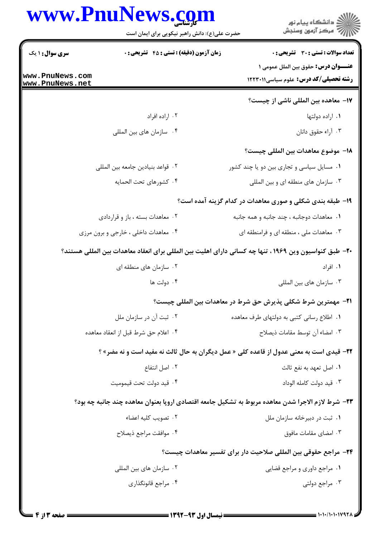|                                    | www.PnuNews.com                                  | ڪ دانشڪاه پيام نور<br>/7 مرڪز آزمون وسنڊش                                                              |
|------------------------------------|--------------------------------------------------|--------------------------------------------------------------------------------------------------------|
|                                    | حضرت علی(ع): دانش راهبر نیکویی برای ایمان است    |                                                                                                        |
| <b>سری سوال : ۱ یک</b>             | <b>زمان آزمون (دقیقه) : تستی : 45 تشریحی : 0</b> | <b>تعداد سوالات : تستی : 30 ٪ تشریحی : 0</b><br><b>عنـــوان درس:</b> حقوق بین الملل عمومی ۱            |
| www.PnuNews.com<br>www.PnuNews.net |                                                  | <b>رشته تحصیلی/کد درس:</b> علوم سیاسی1۲۲۳۰۱۱                                                           |
|                                    |                                                  | 17- معاهده بین المللی ناشی از چیست؟                                                                    |
|                                    | ۰۲ اراده افراد                                   | ۰۱ اراده دولتها                                                                                        |
|                                    | ۰۴ سازمان های بین المللی                         | ۰۳ آراء حقوق دانان                                                                                     |
|                                    |                                                  | 1۸– موضوع معاهدات بين المللي چيست؟                                                                     |
|                                    | ٢. قواعد بنيادين جامعه بين المللي                | ۰۱ مسایل سیاسی و تجاری بین دو یا چند کشور                                                              |
|                                    | ۰۴ كشورهاي تحت الحمايه                           | ۰۳ سازمان های منطقه ای و بین المللی                                                                    |
|                                    |                                                  | ۱۹- طبقه بندی شکلی و صوری معاهدات در کدام گزینه آمده است؟                                              |
|                                    | ۰۲ معاهدات بسته ، باز و قراردادی                 | ۰۱ معاهدات دوجانبه ، چند جانبه و همه جانبه                                                             |
|                                    | ۰۴ معاهدات داخلی ، خارجی و برون مرزی             | ۰۳ معاهدات ملی ، منطقه ای و فرامنطقه ای                                                                |
|                                    |                                                  | +٢- طبق كنواسيون وين ١٩۶٩ ، تنها چه كساني داراي اهليت بين المللي براي انعقاد معاهدات بين المللي هستند؟ |
|                                    | ۰۲ سازمان های منطقه ای                           | ۰۱ افراد                                                                                               |
|                                    | ۰۴ دولت ها                                       | ۰۳ سازمان های بین المللی                                                                               |
|                                    |                                                  | 21−  مهمترين شرط شكلي پذيرش حق شرط در معاهدات بين المللي چيست؟                                         |
|                                    | ۰۲ ثبت آن در سازمان ملل                          | ۰۱ اطلاع رسانی کتبی به دولتهای طرف معاهده                                                              |
|                                    | ۰۴ اعلام حق شرط قبل از انعقاد معاهده             | ٠٣ امضاء آن توسط مقامات ذيصلاح                                                                         |
|                                    |                                                  | <b>3۲-</b> قیدی است به معنی عدول از قاعده کلی « عمل دیگران به حال ثالث نه مفید است و نه مضر» ؟         |
|                                    | ۰۲ اصل انتفاع                                    | ٠١. اصل تعهد به نفع ثالث                                                                               |
|                                    | ۰۴ قید دولت تحت قیمومیت                          | ٠٣ قيد دولت كامله الوداد                                                                               |
|                                    |                                                  | ۲۳– شرط لازم الاجرا شدن معاهده مربوط به تشکیل جامعه اقتصادی اروپا بعنوان معاهده چند جانبه چه بود؟      |
|                                    | ۰۲ تصویب کلیه اعضاء                              | ۰۱ ثبت در دبیرخانه سازمان ملل                                                                          |
|                                    | ۰۴ موافقت مراجع ذيصلاح                           | ۰۳ امضای مقامات مافوق                                                                                  |
|                                    |                                                  | ۲۴− مراجع حقوقی بین المللی صلاحیت دار برای تفسیر معاهدات چیست؟                                         |
|                                    | ۰۲ سازمان های بین المللی                         | ٠١ مراجع داوري و مراجع قضايي                                                                           |
|                                    | ۰۴ مراجع قانونگذاری                              | ۰۳ مراجع دولتی                                                                                         |